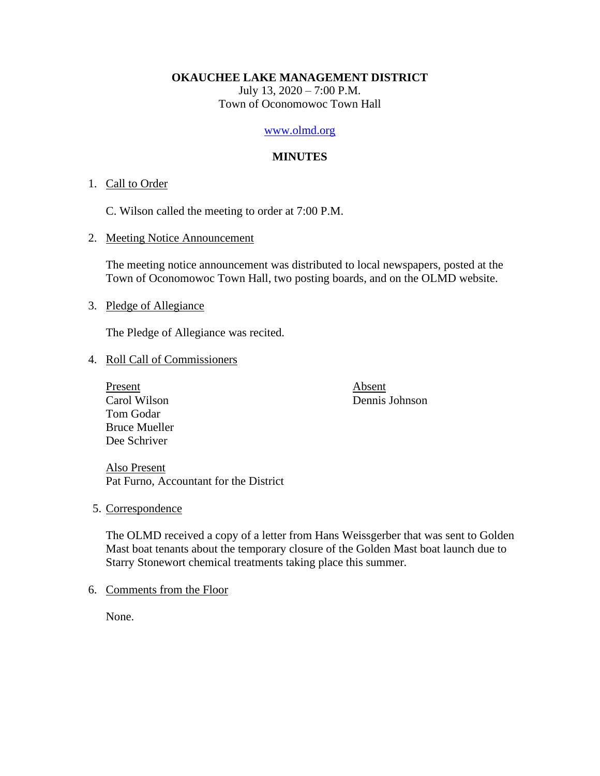**OKAUCHEE LAKE MANAGEMENT DISTRICT**

July 13,  $2020 - 7:00$  P.M. Town of Oconomowoc Town Hall

### [www.olmd.org](http://www.olmd.org/)

# **MINUTES**

## 1. Call to Order

C. Wilson called the meeting to order at 7:00 P.M.

2. Meeting Notice Announcement

The meeting notice announcement was distributed to local newspapers, posted at the Town of Oconomowoc Town Hall, two posting boards, and on the OLMD website.

### 3. Pledge of Allegiance

The Pledge of Allegiance was recited.

#### 4. Roll Call of Commissioners

Present Absent Carol Wilson Dennis Johnson Tom Godar Bruce Mueller Dee Schriver

Also Present Pat Furno, Accountant for the District

5. Correspondence

The OLMD received a copy of a letter from Hans Weissgerber that was sent to Golden Mast boat tenants about the temporary closure of the Golden Mast boat launch due to Starry Stonewort chemical treatments taking place this summer.

6. Comments from the Floor

None.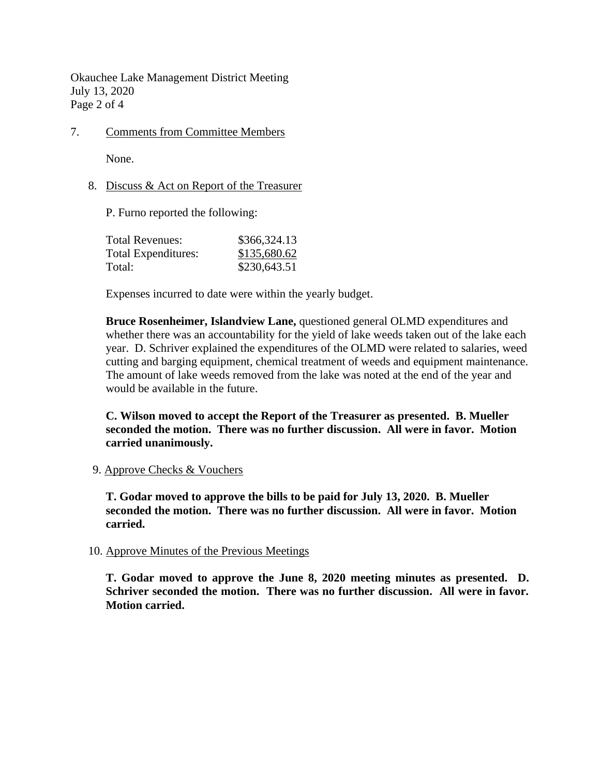Okauchee Lake Management District Meeting July 13, 2020 Page 2 of 4

7. Comments from Committee Members

None.

8. Discuss & Act on Report of the Treasurer

P. Furno reported the following:

| Total Revenues:     | \$366,324.13 |
|---------------------|--------------|
| Total Expenditures: | \$135,680.62 |
| Total:              | \$230,643.51 |

Expenses incurred to date were within the yearly budget.

**Bruce Rosenheimer, Islandview Lane,** questioned general OLMD expenditures and whether there was an accountability for the yield of lake weeds taken out of the lake each year. D. Schriver explained the expenditures of the OLMD were related to salaries, weed cutting and barging equipment, chemical treatment of weeds and equipment maintenance. The amount of lake weeds removed from the lake was noted at the end of the year and would be available in the future.

**C. Wilson moved to accept the Report of the Treasurer as presented. B. Mueller seconded the motion. There was no further discussion. All were in favor. Motion carried unanimously.**

9. Approve Checks & Vouchers

**T. Godar moved to approve the bills to be paid for July 13, 2020. B. Mueller seconded the motion. There was no further discussion. All were in favor. Motion carried.**

10. Approve Minutes of the Previous Meetings

**T. Godar moved to approve the June 8, 2020 meeting minutes as presented. D. Schriver seconded the motion. There was no further discussion. All were in favor. Motion carried.**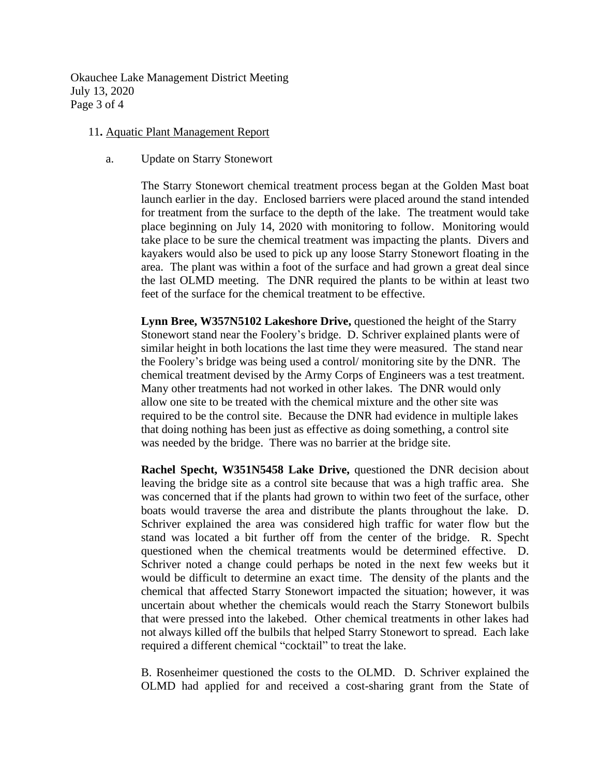Okauchee Lake Management District Meeting July 13, 2020 Page 3 of 4

#### 11**.** Aquatic Plant Management Report

a. Update on Starry Stonewort

The Starry Stonewort chemical treatment process began at the Golden Mast boat launch earlier in the day. Enclosed barriers were placed around the stand intended for treatment from the surface to the depth of the lake. The treatment would take place beginning on July 14, 2020 with monitoring to follow. Monitoring would take place to be sure the chemical treatment was impacting the plants. Divers and kayakers would also be used to pick up any loose Starry Stonewort floating in the area. The plant was within a foot of the surface and had grown a great deal since the last OLMD meeting. The DNR required the plants to be within at least two feet of the surface for the chemical treatment to be effective.

**Lynn Bree, W357N5102 Lakeshore Drive,** questioned the height of the Starry Stonewort stand near the Foolery's bridge. D. Schriver explained plants were of similar height in both locations the last time they were measured. The stand near the Foolery's bridge was being used a control/ monitoring site by the DNR. The chemical treatment devised by the Army Corps of Engineers was a test treatment. Many other treatments had not worked in other lakes. The DNR would only allow one site to be treated with the chemical mixture and the other site was required to be the control site. Because the DNR had evidence in multiple lakes that doing nothing has been just as effective as doing something, a control site was needed by the bridge. There was no barrier at the bridge site.

**Rachel Specht, W351N5458 Lake Drive,** questioned the DNR decision about leaving the bridge site as a control site because that was a high traffic area. She was concerned that if the plants had grown to within two feet of the surface, other boats would traverse the area and distribute the plants throughout the lake. D. Schriver explained the area was considered high traffic for water flow but the stand was located a bit further off from the center of the bridge. R. Specht questioned when the chemical treatments would be determined effective. D. Schriver noted a change could perhaps be noted in the next few weeks but it would be difficult to determine an exact time. The density of the plants and the chemical that affected Starry Stonewort impacted the situation; however, it was uncertain about whether the chemicals would reach the Starry Stonewort bulbils that were pressed into the lakebed. Other chemical treatments in other lakes had not always killed off the bulbils that helped Starry Stonewort to spread. Each lake required a different chemical "cocktail" to treat the lake.

B. Rosenheimer questioned the costs to the OLMD. D. Schriver explained the OLMD had applied for and received a cost-sharing grant from the State of